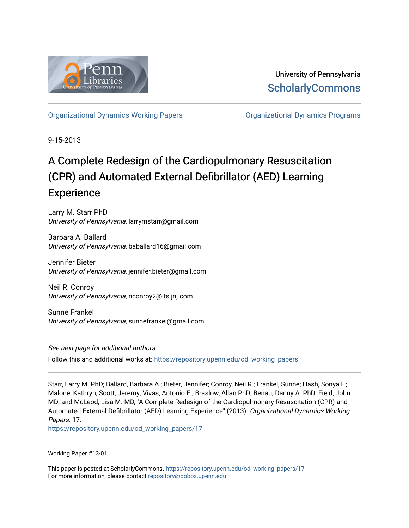

University of Pennsylvania **ScholarlyCommons** 

[Organizational Dynamics Working Papers](https://repository.upenn.edu/od_working_papers) [Organizational Dynamics Programs](https://repository.upenn.edu/organizational_dynamics) 

9-15-2013

# A Complete Redesign of the Cardiopulmonary Resuscitation (CPR) and Automated External Defibrillator (AED) Learning **Experience**

Larry M. Starr PhD University of Pennsylvania, larrymstarr@gmail.com

Barbara A. Ballard University of Pennsylvania, baballard16@gmail.com

Jennifer Bieter University of Pennsylvania, jennifer.bieter@gmail.com

Neil R. Conroy University of Pennsylvania, nconroy2@its.jnj.com

Sunne Frankel University of Pennsylvania, sunnefrankel@gmail.com

See next page for additional authors Follow this and additional works at: [https://repository.upenn.edu/od\\_working\\_papers](https://repository.upenn.edu/od_working_papers?utm_source=repository.upenn.edu%2Fod_working_papers%2F17&utm_medium=PDF&utm_campaign=PDFCoverPages) 

Starr, Larry M. PhD; Ballard, Barbara A.; Bieter, Jennifer; Conroy, Neil R.; Frankel, Sunne; Hash, Sonya F.; Malone, Kathryn; Scott, Jeremy; Vivas, Antonio E.; Braslow, Allan PhD; Benau, Danny A. PhD; Field, John MD; and McLeod, Lisa M. MD, "A Complete Redesign of the Cardiopulmonary Resuscitation (CPR) and Automated External Defibrillator (AED) Learning Experience" (2013). Organizational Dynamics Working Papers. 17.

[https://repository.upenn.edu/od\\_working\\_papers/17](https://repository.upenn.edu/od_working_papers/17?utm_source=repository.upenn.edu%2Fod_working_papers%2F17&utm_medium=PDF&utm_campaign=PDFCoverPages)

Working Paper #13-01

This paper is posted at ScholarlyCommons. [https://repository.upenn.edu/od\\_working\\_papers/17](https://repository.upenn.edu/od_working_papers/17) For more information, please contact [repository@pobox.upenn.edu.](mailto:repository@pobox.upenn.edu)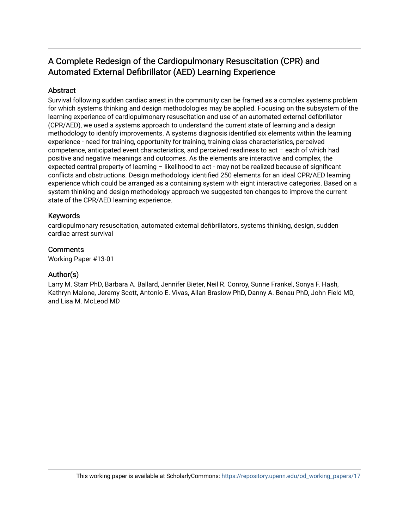# A Complete Redesign of the Cardiopulmonary Resuscitation (CPR) and Automated External Defibrillator (AED) Learning Experience

# **Abstract**

Survival following sudden cardiac arrest in the community can be framed as a complex systems problem for which systems thinking and design methodologies may be applied. Focusing on the subsystem of the learning experience of cardiopulmonary resuscitation and use of an automated external defibrillator (CPR/AED), we used a systems approach to understand the current state of learning and a design methodology to identify improvements. A systems diagnosis identified six elements within the learning experience - need for training, opportunity for training, training class characteristics, perceived competence, anticipated event characteristics, and perceived readiness to act – each of which had positive and negative meanings and outcomes. As the elements are interactive and complex, the expected central property of learning – likelihood to act - may not be realized because of significant conflicts and obstructions. Design methodology identified 250 elements for an ideal CPR/AED learning experience which could be arranged as a containing system with eight interactive categories. Based on a system thinking and design methodology approach we suggested ten changes to improve the current state of the CPR/AED learning experience.

### Keywords

cardiopulmonary resuscitation, automated external defibrillators, systems thinking, design, sudden cardiac arrest survival

### **Comments**

Working Paper #13-01

# Author(s)

Larry M. Starr PhD, Barbara A. Ballard, Jennifer Bieter, Neil R. Conroy, Sunne Frankel, Sonya F. Hash, Kathryn Malone, Jeremy Scott, Antonio E. Vivas, Allan Braslow PhD, Danny A. Benau PhD, John Field MD, and Lisa M. McLeod MD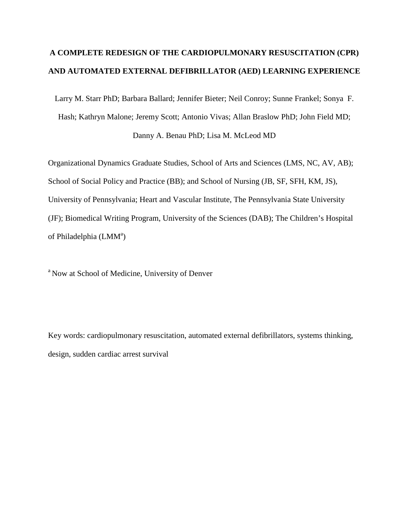# **A COMPLETE REDESIGN OF THE CARDIOPULMONARY RESUSCITATION (CPR) AND AUTOMATED EXTERNAL DEFIBRILLATOR (AED) LEARNING EXPERIENCE**

Larry M. Starr PhD; Barbara Ballard; Jennifer Bieter; Neil Conroy; Sunne Frankel; Sonya F.

Hash; Kathryn Malone; Jeremy Scott; Antonio Vivas; Allan Braslow PhD; John Field MD;

Danny A. Benau PhD; Lisa M. McLeod MD

Organizational Dynamics Graduate Studies, School of Arts and Sciences (LMS, NC, AV, AB); School of Social Policy and Practice (BB); and School of Nursing (JB, SF, SFH, KM, JS), University of Pennsylvania; Heart and Vascular Institute, The Pennsylvania State University (JF); Biomedical Writing Program, University of the Sciences (DAB); The Children's Hospital of Philadelphia (LMM<sup>a</sup>)

<sup>a</sup> Now at School of Medicine, University of Denver

Key words: cardiopulmonary resuscitation, automated external defibrillators, systems thinking, design, sudden cardiac arrest survival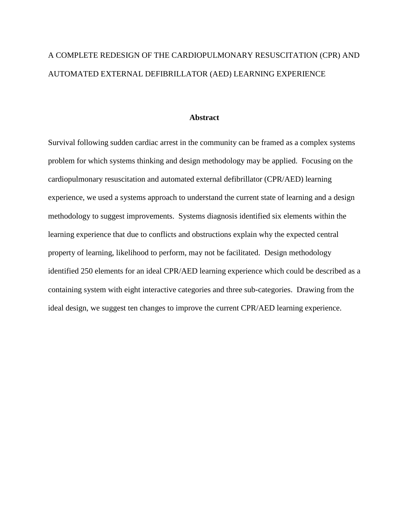# A COMPLETE REDESIGN OF THE CARDIOPULMONARY RESUSCITATION (CPR) AND AUTOMATED EXTERNAL DEFIBRILLATOR (AED) LEARNING EXPERIENCE

### **Abstract**

Survival following sudden cardiac arrest in the community can be framed as a complex systems problem for which systems thinking and design methodology may be applied. Focusing on the cardiopulmonary resuscitation and automated external defibrillator (CPR/AED) learning experience, we used a systems approach to understand the current state of learning and a design methodology to suggest improvements. Systems diagnosis identified six elements within the learning experience that due to conflicts and obstructions explain why the expected central property of learning, likelihood to perform, may not be facilitated. Design methodology identified 250 elements for an ideal CPR/AED learning experience which could be described as a containing system with eight interactive categories and three sub-categories. Drawing from the ideal design, we suggest ten changes to improve the current CPR/AED learning experience.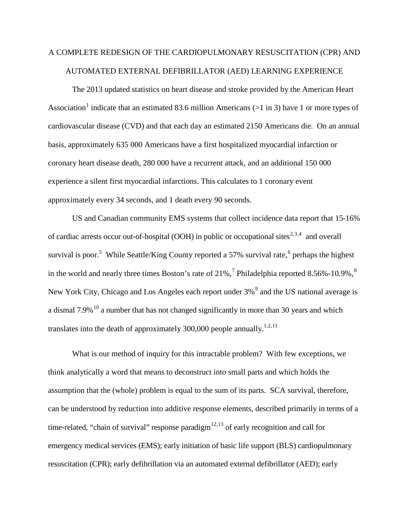# A COMPLETE REDESIGN OF THE CARDIOPULMONARY RESUSCITATION (CPR) AND AUTOMATED EXTERNAL DEFIBRILLATOR (AED) LEARNING EXPERIENCE

The 2013 updated statistics on heart disease and stroke provided by the American Heart Association<sup>[1](#page-26-0)</sup> indicate that an estimated 83.6 million Americans ( $>1$  in 3) have 1 or more types of cardiovascular disease (CVD) and that each day an estimated 2150 Americans die. On an annual basis, approximately 635 000 Americans have a first hospitalized myocardial infarction or coronary heart disease death, 280 000 have a recurrent attack, and an additional 150 000 experience a silent first myocardial infarctions. This calculates to 1 coronary event approximately every 34 seconds, and 1 death every 90 seconds.

US and Canadian community EMS systems that collect incidence data report that 15-16% of cardiac arrests occur out-of-hospital (OOH) in public or occupational sites<sup>[2,](#page-26-1)[3](#page-26-2),[4](#page-26-3)</sup> and overall survival is poor.<sup>[5](#page-26-4)</sup> While Seattle/King County reported a 57% survival rate,<sup>[6](#page-26-5)</sup> perhaps the highest in the world and nearly three times Boston's rate of  $21\%$ ,  $\frac{7}{7}$  $\frac{7}{7}$  $\frac{7}{7}$  Philadelphia reported [8](#page-26-7).56%-10.9%,  $\frac{8}{7}$ New York City, Chicago and Los Angeles each report under 3%<sup>[9](#page-26-8)</sup> and the US national average is a dismal  $7.9\%$ <sup>[10](#page-26-9)</sup> a number that has not changed significantly in more than 30 years and which translates into the death of approximately 300,000 people annually.<sup>1,2,[11](#page-26-10)</sup>

What is our method of inquiry for this intractable problem? With few exceptions, we think analytically a word that means to deconstruct into small parts and which holds the assumption that the (whole) problem is equal to the sum of its parts. SCA survival, therefore, can be understood by reduction into additive response elements, described primarily in terms of a time-related, "chain of survival" response paradigm $^{12,13}$  $^{12,13}$  $^{12,13}$  $^{12,13}$  $^{12,13}$  of early recognition and call for emergency medical services (EMS); early initiation of basic life support (BLS) cardiopulmonary resuscitation (CPR); early defibrillation via an automated external defibrillator (AED); early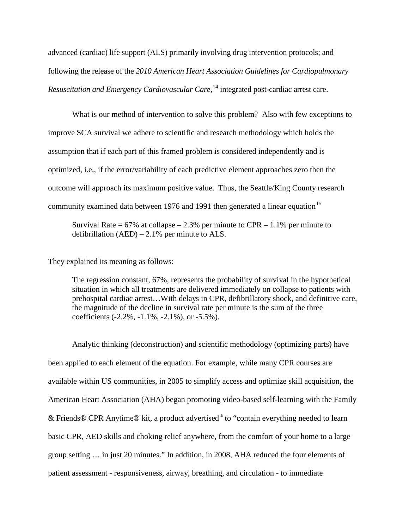advanced (cardiac) life support (ALS) primarily involving drug intervention protocols; and following the release of the *2010 American Heart Association Guidelines for Cardiopulmonary Resuscitation and Emergency Cardiovascular Care*, [14](#page-27-0) integrated post-cardiac arrest care.

What is our method of intervention to solve this problem? Also with few exceptions to improve SCA survival we adhere to scientific and research methodology which holds the assumption that if each part of this framed problem is considered independently and is optimized, i.e., if the error/variability of each predictive element approaches zero then the outcome will approach its maximum positive value. Thus, the Seattle/King County research community examined data between 1976 and 1991 then generated a linear equation<sup>[15](#page-27-1)</sup>

Survival Rate =  $67\%$  at collapse – 2.3% per minute to CPR – 1.1% per minute to defibrillation  $(AED) - 2.1\%$  per minute to ALS.

They explained its meaning as follows:

The regression constant, 67%, represents the probability of survival in the hypothetical situation in which all treatments are delivered immediately on collapse to patients with prehospital cardiac arrest…With delays in CPR, defibrillatory shock, and definitive care, the magnitude of the decline in survival rate per minute is the sum of the three coefficients (-2.2%, -1.1%, -2.1%), or -5.5%).

Analytic thinking (deconstruction) and scientific methodology (optimizing parts) have been applied to each element of the equation. For example, while many CPR courses are available within US communities, in 2005 to simplify access and optimize skill acquisition, the American Heart Association (AHA) began promoting video-based self-learning with the Family & Friends® CPR Anytime® kit, a product advertised  $a$  to "contain everything needed to learn basic CPR, AED skills and choking relief anywhere, from the comfort of your home to a large group setting … in just 20 minutes." In addition, in 2008, AHA reduced the four elements of patient assessment - responsiveness, airway, breathing, and circulation - to immediate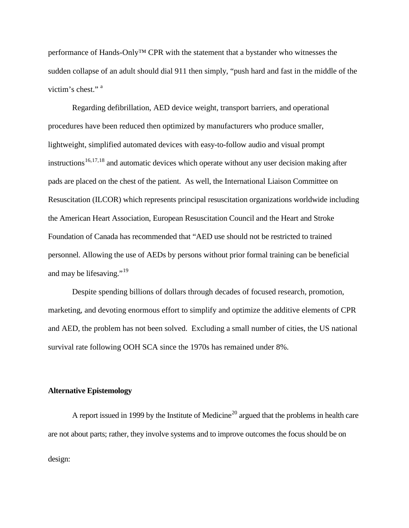performance of Hands-Only™ CPR with the statement that a bystander who witnesses the sudden collapse of an adult should dial 911 then simply, "push hard and fast in the middle of the victim's chest."<sup>a</sup>

Regarding defibrillation, AED device weight, transport barriers, and operational procedures have been reduced then optimized by manufacturers who produce smaller, lightweight, simplified automated devices with easy-to-follow audio and visual prompt instructions<sup>[16](#page-28-0),[17](#page-28-1)[,18](#page-28-2)</sup> and automatic devices which operate without any user decision making after pads are placed on the chest of the patient. As well, the International Liaison Committee on Resuscitation (ILCOR) which represents principal resuscitation organizations worldwide including the American Heart Association, European Resuscitation Council and the Heart and Stroke Foundation of Canada has recommended that "AED use should not be restricted to trained personnel. Allowing the use of AEDs by persons without prior formal training can be beneficial and may be lifesaving."<sup>[19](#page-28-3)</sup>

Despite spending billions of dollars through decades of focused research, promotion, marketing, and devoting enormous effort to simplify and optimize the additive elements of CPR and AED, the problem has not been solved. Excluding a small number of cities, the US national survival rate following OOH SCA since the 1970s has remained under 8%.

#### **Alternative Epistemology**

A report issued in 1999 by the Institute of Medicine<sup>[20](#page-28-4)</sup> argued that the problems in health care are not about parts; rather, they involve systems and to improve outcomes the focus should be on design: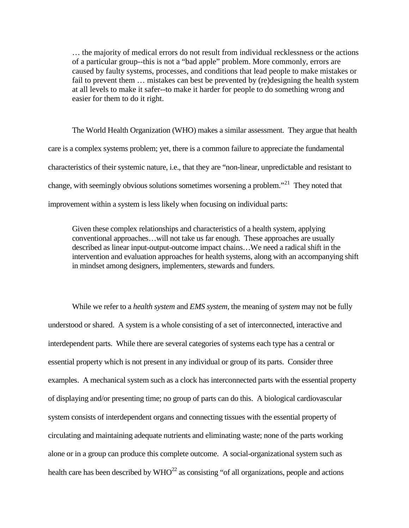… the majority of medical errors do not result from individual recklessness or the actions of a particular group--this is not a "bad apple" problem. More commonly, errors are caused by faulty systems, processes, and conditions that lead people to make mistakes or fail to prevent them … mistakes can best be prevented by (re)designing the health system at all levels to make it safer--to make it harder for people to do something wrong and easier for them to do it right.

The World Health Organization (WHO) makes a similar assessment. They argue that health care is a complex systems problem; yet, there is a common failure to appreciate the fundamental characteristics of their systemic nature, i.e., that they are "non-linear, unpredictable and resistant to change, with seemingly obvious solutions sometimes worsening a problem.<sup> $21$ </sup> They noted that improvement within a system is less likely when focusing on individual parts:

Given these complex relationships and characteristics of a health system, applying conventional approaches…will not take us far enough. These approaches are usually described as linear input-output-outcome impact chains...We need a radical shift in the intervention and evaluation approaches for health systems, along with an accompanying shift in mindset among designers, implementers, stewards and funders.

While we refer to a *health system* and *EMS system*, the meaning of *system* may not be fully understood or shared. A system is a whole consisting of a set of interconnected, interactive and interdependent parts. While there are several categories of systems each type has a central or essential property which is not present in any individual or group of its parts. Consider three examples. A mechanical system such as a clock has interconnected parts with the essential property of displaying and/or presenting time; no group of parts can do this. A biological cardiovascular system consists of interdependent organs and connecting tissues with the essential property of circulating and maintaining adequate nutrients and eliminating waste; none of the parts working alone or in a group can produce this complete outcome. A social-organizational system such as health care has been described by  $WHO^{22}$  as consisting "of all organizations, people and actions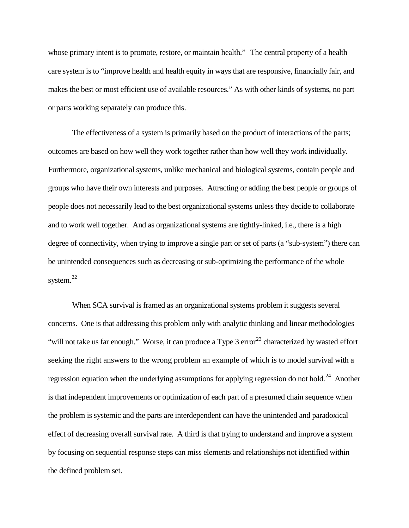whose primary intent is to promote, restore, or maintain health." The central property of a health care system is to "improve health and health equity in ways that are responsive, financially fair, and makes the best or most efficient use of available resources." As with other kinds of systems, no part or parts working separately can produce this.

The effectiveness of a system is primarily based on the product of interactions of the parts; outcomes are based on how well they work together rather than how well they work individually. Furthermore, organizational systems, unlike mechanical and biological systems, contain people and groups who have their own interests and purposes. Attracting or adding the best people or groups of people does not necessarily lead to the best organizational systems unless they decide to collaborate and to work well together. And as organizational systems are tightly-linked, i.e., there is a high degree of connectivity, when trying to improve a single part or set of parts (a "sub-system") there can be unintended consequences such as decreasing or sub-optimizing the performance of the whole system. [22](#page-29-1) 

When SCA survival is framed as an organizational systems problem it suggests several concerns. One is that addressing this problem only with analytic thinking and linear methodologies "will not take us far enough." Worse, it can produce a Type 3 error<sup>[23](#page-29-2)</sup> characterized by wasted effort seeking the right answers to the wrong problem an example of which is to model survival with a regression equation when the underlying assumptions for applying regression do not hold.<sup>24</sup> Another is that independent improvements or optimization of each part of a presumed chain sequence when the problem is systemic and the parts are interdependent can have the unintended and paradoxical effect of decreasing overall survival rate. A third is that trying to understand and improve a system by focusing on sequential response steps can miss elements and relationships not identified within the defined problem set.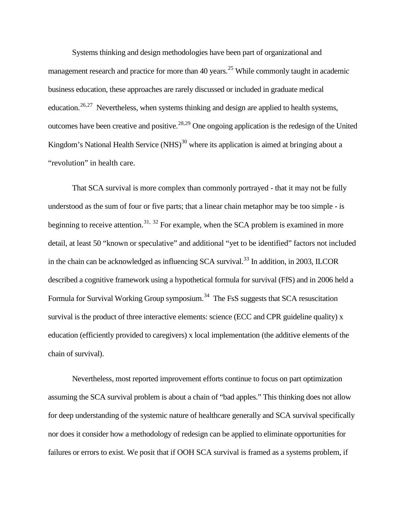Systems thinking and design methodologies have been part of organizational and management research and practice for more than 40 years.<sup>[25](#page-30-0)</sup> While commonly taught in academic business education, these approaches are rarely discussed or included in graduate medical education.<sup>[26](#page-30-1),[27](#page-30-2)</sup> Nevertheless, when systems thinking and design are applied to health systems, outcomes have been creative and positive.<sup>[28](#page-30-3)[,29](#page-30-4)</sup> One ongoing application is the redesign of the United Kingdom's National Health Service  $(NHS)^{30}$  $(NHS)^{30}$  $(NHS)^{30}$  where its application is aimed at bringing about a "revolution" in health care.

That SCA survival is more complex than commonly portrayed - that it may not be fully understood as the sum of four or five parts; that a linear chain metaphor may be too simple - is beginning to receive attention.<sup>[31,](#page-30-6) [32](#page-30-7)</sup> For example, when the SCA problem is examined in more detail, at least 50 "known or speculative" and additional "yet to be identified" factors not included in the chain can be acknowledged as influencing SCA survival.<sup>[33](#page-30-8)</sup> In addition, in 2003, ILCOR described a cognitive framework using a hypothetical formula for survival (FfS) and in 2006 held a Formula for Survival Working Group symposium.<sup>34</sup> The FsS suggests that SCA resuscitation survival is the product of three interactive elements: science (ECC and CPR guideline quality) x education (efficiently provided to caregivers) x local implementation (the additive elements of the chain of survival).

Nevertheless, most reported improvement efforts continue to focus on part optimization assuming the SCA survival problem is about a chain of "bad apples." This thinking does not allow for deep understanding of the systemic nature of healthcare generally and SCA survival specifically nor does it consider how a methodology of redesign can be applied to eliminate opportunities for failures or errors to exist. We posit that if OOH SCA survival is framed as a systems problem, if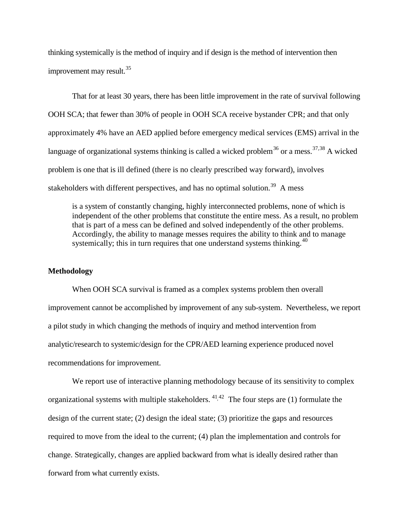thinking systemically is the method of inquiry and if design is the method of intervention then improvement may result. $^{35}$  $^{35}$  $^{35}$ 

That for at least 30 years, there has been little improvement in the rate of survival following OOH SCA; that fewer than 30% of people in OOH SCA receive bystander CPR; and that only approximately 4% have an AED applied before emergency medical services (EMS) arrival in the language of organizational systems thinking is called a wicked problem<sup>[36](#page-31-1)</sup> or a mess.<sup>[37](#page-31-2),[38](#page-31-3)</sup> A wicked problem is one that is ill defined (there is no clearly prescribed way forward), involves stakeholders with different perspectives, and has no optimal solution.<sup>[39](#page-31-4)</sup> A mess

is a system of constantly changing, highly interconnected problems, none of which is independent of the other problems that constitute the entire mess. As a result, no problem that is part of a mess can be defined and solved independently of the other problems. Accordingly, the ability to manage messes requires the ability to think and to manage systemically; this in turn requires that one understand systems thinking.  $40$ 

#### **Methodology**

When OOH SCA survival is framed as a complex systems problem then overall improvement cannot be accomplished by improvement of any sub-system. Nevertheless, we report a pilot study in which changing the methods of inquiry and method intervention from analytic/research to systemic/design for the CPR/AED learning experience produced novel recommendations for improvement.

We report use of interactive planning methodology because of its sensitivity to complex organizational systems with multiple stakeholders.  $4^{1,42}$  The four steps are (1) formulate the design of the current state; (2) design the ideal state; (3) prioritize the gaps and resources required to move from the ideal to the current; (4) plan the implementation and controls for change. Strategically, changes are applied backward from what is ideally desired rather than forward from what currently exists.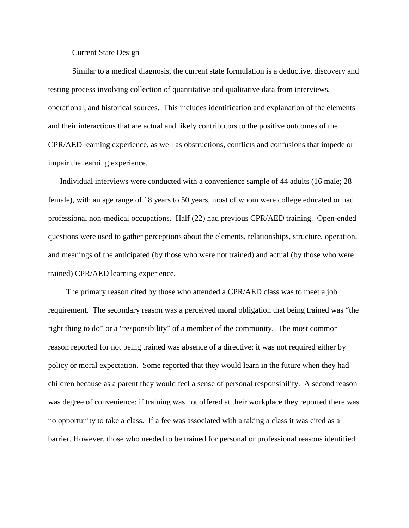#### Current State Design

Similar to a medical diagnosis, the current state formulation is a deductive, discovery and testing process involving collection of quantitative and qualitative data from interviews, operational, and historical sources. This includes identification and explanation of the elements and their interactions that are actual and likely contributors to the positive outcomes of the CPR/AED learning experience, as well as obstructions, conflicts and confusions that impede or impair the learning experience.

Individual interviews were conducted with a convenience sample of 44 adults (16 male; 28 female), with an age range of 18 years to 50 years, most of whom were college educated or had professional non-medical occupations. Half (22) had previous CPR/AED training. Open-ended questions were used to gather perceptions about the elements, relationships, structure, operation, and meanings of the anticipated (by those who were not trained) and actual (by those who were trained) CPR/AED learning experience.

The primary reason cited by those who attended a CPR/AED class was to meet a job requirement. The secondary reason was a perceived moral obligation that being trained was "the right thing to do" or a "responsibility" of a member of the community. The most common reason reported for not being trained was absence of a directive: it was not required either by policy or moral expectation. Some reported that they would learn in the future when they had children because as a parent they would feel a sense of personal responsibility. A second reason was degree of convenience: if training was not offered at their workplace they reported there was no opportunity to take a class. If a fee was associated with a taking a class it was cited as a barrier. However, those who needed to be trained for personal or professional reasons identified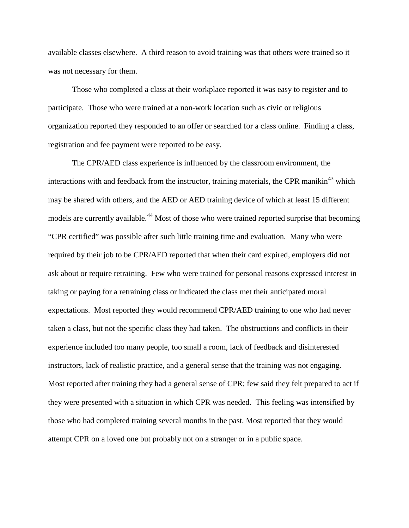available classes elsewhere. A third reason to avoid training was that others were trained so it was not necessary for them.

Those who completed a class at their workplace reported it was easy to register and to participate. Those who were trained at a non-work location such as civic or religious organization reported they responded to an offer or searched for a class online. Finding a class, registration and fee payment were reported to be easy.

The CPR/AED class experience is influenced by the classroom environment, the interactions with and feedback from the instructor, training materials, the CPR manikin<sup>[43](#page-32-0)</sup> which may be shared with others, and the AED or AED training device of which at least 15 different models are currently available.<sup>[44](#page-32-1)</sup> Most of those who were trained reported surprise that becoming "CPR certified" was possible after such little training time and evaluation. Many who were required by their job to be CPR/AED reported that when their card expired, employers did not ask about or require retraining. Few who were trained for personal reasons expressed interest in taking or paying for a retraining class or indicated the class met their anticipated moral expectations. Most reported they would recommend CPR/AED training to one who had never taken a class, but not the specific class they had taken. The obstructions and conflicts in their experience included too many people, too small a room, lack of feedback and disinterested instructors, lack of realistic practice, and a general sense that the training was not engaging. Most reported after training they had a general sense of CPR; few said they felt prepared to act if they were presented with a situation in which CPR was needed. This feeling was intensified by those who had completed training several months in the past. Most reported that they would attempt CPR on a loved one but probably not on a stranger or in a public space.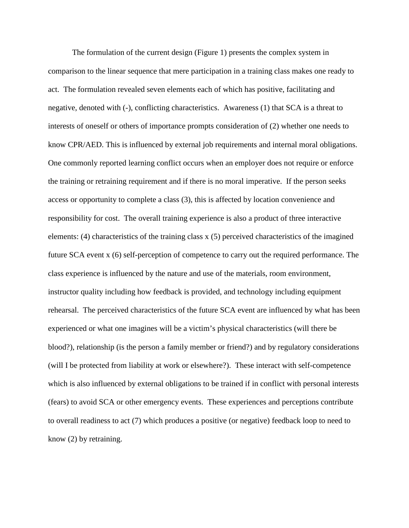The formulation of the current design (Figure 1) presents the complex system in comparison to the linear sequence that mere participation in a training class makes one ready to act. The formulation revealed seven elements each of which has positive, facilitating and negative, denoted with (-), conflicting characteristics. Awareness (1) that SCA is a threat to interests of oneself or others of importance prompts consideration of (2) whether one needs to know CPR/AED. This is influenced by external job requirements and internal moral obligations. One commonly reported learning conflict occurs when an employer does not require or enforce the training or retraining requirement and if there is no moral imperative. If the person seeks access or opportunity to complete a class (3), this is affected by location convenience and responsibility for cost. The overall training experience is also a product of three interactive elements: (4) characteristics of the training class x (5) perceived characteristics of the imagined future SCA event x (6) self-perception of competence to carry out the required performance. The class experience is influenced by the nature and use of the materials, room environment, instructor quality including how feedback is provided, and technology including equipment rehearsal. The perceived characteristics of the future SCA event are influenced by what has been experienced or what one imagines will be a victim's physical characteristics (will there be blood?), relationship (is the person a family member or friend?) and by regulatory considerations (will I be protected from liability at work or elsewhere?). These interact with self-competence which is also influenced by external obligations to be trained if in conflict with personal interests (fears) to avoid SCA or other emergency events. These experiences and perceptions contribute to overall readiness to act (7) which produces a positive (or negative) feedback loop to need to know (2) by retraining.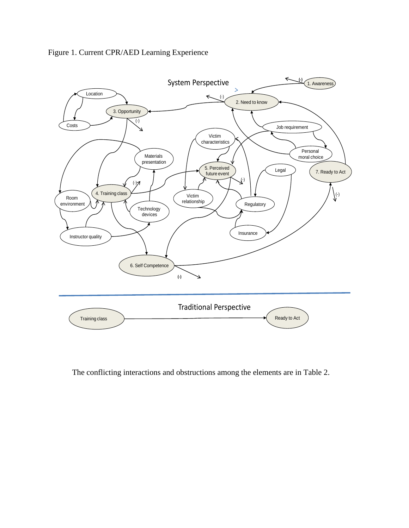

Figure 1. Current CPR/AED Learning Experience

The conflicting interactions and obstructions among the elements are in Table 2.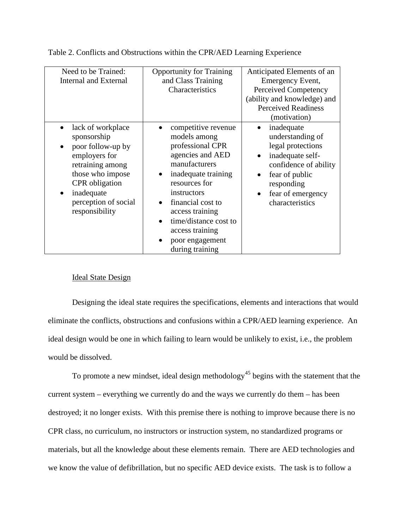Table 2. Conflicts and Obstructions within the CPR/AED Learning Experience

| Need to be Trained:<br><b>Internal and External</b>                                                                                                                                                                       | <b>Opportunity for Training</b><br>and Class Training<br>Characteristics                                                                                                                                                                                                      | Anticipated Elements of an<br>Emergency Event,<br>Perceived Competency<br>(ability and knowledge) and<br><b>Perceived Readiness</b><br>(motivation)                                                |
|---------------------------------------------------------------------------------------------------------------------------------------------------------------------------------------------------------------------------|-------------------------------------------------------------------------------------------------------------------------------------------------------------------------------------------------------------------------------------------------------------------------------|----------------------------------------------------------------------------------------------------------------------------------------------------------------------------------------------------|
| lack of workplace<br>$\bullet$<br>sponsorship<br>poor follow-up by<br>$\bullet$<br>employers for<br>retraining among<br>those who impose<br><b>CPR</b> obligation<br>inadequate<br>perception of social<br>responsibility | competitive revenue<br>models among<br>professional CPR<br>agencies and AED<br>manufacturers<br>inadequate training<br>resources for<br>instructors<br>financial cost to<br>access training<br>time/distance cost to<br>access training<br>poor engagement<br>during training | inadequate<br>understanding of<br>legal protections<br>inadequate self-<br>$\bullet$<br>confidence of ability<br>fear of public<br>responding<br>fear of emergency<br>$\bullet$<br>characteristics |

# Ideal State Design

Designing the ideal state requires the specifications, elements and interactions that would eliminate the conflicts, obstructions and confusions within a CPR/AED learning experience. An ideal design would be one in which failing to learn would be unlikely to exist, i.e., the problem would be dissolved.

To promote a new mindset, ideal design methodology<sup>[45](#page-32-2)</sup> begins with the statement that the current system – everything we currently do and the ways we currently do them – has been destroyed; it no longer exists. With this premise there is nothing to improve because there is no CPR class, no curriculum, no instructors or instruction system, no standardized programs or materials, but all the knowledge about these elements remain. There are AED technologies and we know the value of defibrillation, but no specific AED device exists. The task is to follow a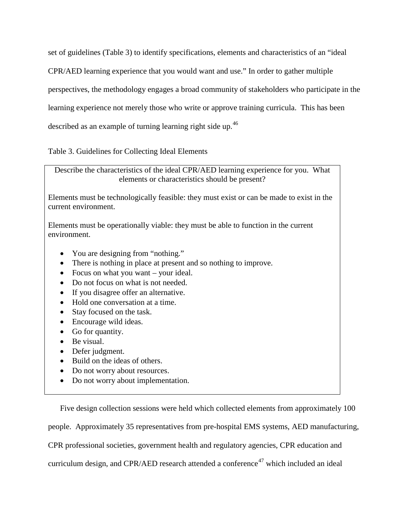set of guidelines (Table 3) to identify specifications, elements and characteristics of an "ideal CPR/AED learning experience that you would want and use." In order to gather multiple perspectives, the methodology engages a broad community of stakeholders who participate in the learning experience not merely those who write or approve training curricula. This has been described as an example of turning learning right side up.<sup>46</sup>

Table 3. Guidelines for Collecting Ideal Elements

Describe the characteristics of the ideal CPR/AED learning experience for you. What elements or characteristics should be present?

Elements must be technologically feasible: they must exist or can be made to exist in the current environment.

Elements must be operationally viable: they must be able to function in the current environment.

- You are designing from "nothing."
- There is nothing in place at present and so nothing to improve.
- Focus on what you want your ideal.
- Do not focus on what is not needed.
- If you disagree offer an alternative.
- Hold one conversation at a time.
- Stay focused on the task.
- Encourage wild ideas.
- Go for quantity.
- Be visual.
- Defer judgment.
- Build on the ideas of others.
- Do not worry about resources.
- Do not worry about implementation.

Five design collection sessions were held which collected elements from approximately 100 people. Approximately 35 representatives from pre-hospital EMS systems, AED manufacturing, CPR professional societies, government health and regulatory agencies, CPR education and curriculum design, and CPR/AED research attended a conference<sup>[47](#page-32-4)</sup> which included an ideal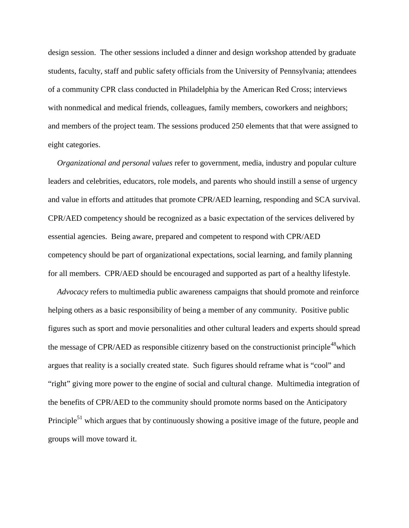design session. The other sessions included a dinner and design workshop attended by graduate students, faculty, staff and public safety officials from the University of Pennsylvania; attendees of a community CPR class conducted in Philadelphia by the American Red Cross; interviews with nonmedical and medical friends, colleagues, family members, coworkers and neighbors; and members of the project team. The sessions produced 250 elements that that were assigned to eight categories.

*Organizational and personal values* refer to government, media, industry and popular culture leaders and celebrities, educators, role models, and parents who should instill a sense of urgency and value in efforts and attitudes that promote CPR/AED learning, responding and SCA survival. CPR/AED competency should be recognized as a basic expectation of the services delivered by essential agencies. Being aware, prepared and competent to respond with CPR/AED competency should be part of organizational expectations, social learning, and family planning for all members. CPR/AED should be encouraged and supported as part of a healthy lifestyle.

*Advocacy* refers to multimedia public awareness campaigns that should promote and reinforce helping others as a basic responsibility of being a member of any community. Positive public figures such as sport and movie personalities and other cultural leaders and experts should spread the message of CPR/AED as responsible citizenry based on the constructionist principle<sup>48</sup>which argues that reality is a socially created state. Such figures should reframe what is "cool" and "right" giving more power to the engine of social and cultural change. Multimedia integration of the benefits of CPR/AED to the community should promote norms based on the Anticipatory Principle<sup>51</sup> which argues that by continuously showing a positive image of the future, people and groups will move toward it.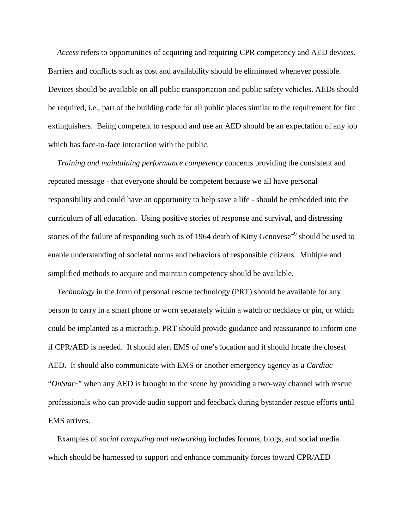*Access* refers to opportunities of acquiring and requiring CPR competency and AED devices. Barriers and conflicts such as cost and availability should be eliminated whenever possible. Devices should be available on all public transportation and public safety vehicles. AEDs should be required, i.e., part of the building code for all public places similar to the requirement for fire extinguishers. Being competent to respond and use an AED should be an expectation of any job which has face-to-face interaction with the public.

*Training and maintaining performance competency* concerns providing the consistent and repeated message - that everyone should be competent because we all have personal responsibility and could have an opportunity to help save a life - should be embedded into the curriculum of all education. Using positive stories of response and survival, and distressing stories of the failure of responding such as of 1964 death of Kitty Genovese<sup>[49](#page-32-6)</sup> should be used to enable understanding of societal norms and behaviors of responsible citizens. Multiple and simplified methods to acquire and maintain competency should be available.

*Technology* in the form of personal rescue technology (PRT) should be available for any person to carry in a smart phone or worn separately within a watch or necklace or pin, or which could be implanted as a microchip. PRT should provide guidance and reassurance to inform one if CPR/AED is needed. It should alert EMS of one's location and it should locate the closest AED. It should also communicate with EMS or another emergency agency as a *Cardiac* "OnStar<sup>M</sup>" when any AED is brought to the scene by providing a two-way channel with rescue professionals who can provide audio support and feedback during bystander rescue efforts until EMS arrives.

Examples of *social computing and networking* includes forums, blogs, and social media which should be harnessed to support and enhance community forces toward CPR/AED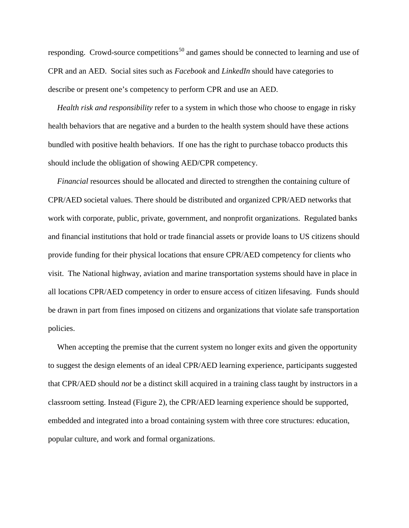responding. Crowd-source competitions<sup>[50](#page-32-7)</sup> and games should be connected to learning and use of CPR and an AED. Social sites such as *Facebook* and *LinkedIn* should have categories to describe or present one's competency to perform CPR and use an AED.

*Health risk and responsibility* refer to a system in which those who choose to engage in risky health behaviors that are negative and a burden to the health system should have these actions bundled with positive health behaviors. If one has the right to purchase tobacco products this should include the obligation of showing AED/CPR competency.

*Financial* resources should be allocated and directed to strengthen the containing culture of CPR/AED societal values. There should be distributed and organized CPR/AED networks that work with corporate, public, private, government, and nonprofit organizations. Regulated banks and financial institutions that hold or trade financial assets or provide loans to US citizens should provide funding for their physical locations that ensure CPR/AED competency for clients who visit. The National highway, aviation and marine transportation systems should have in place in all locations CPR/AED competency in order to ensure access of citizen lifesaving. Funds should be drawn in part from fines imposed on citizens and organizations that violate safe transportation policies.

When accepting the premise that the current system no longer exits and given the opportunity to suggest the design elements of an ideal CPR/AED learning experience, participants suggested that CPR/AED should *not* be a distinct skill acquired in a training class taught by instructors in a classroom setting. Instead (Figure 2), the CPR/AED learning experience should be supported, embedded and integrated into a broad containing system with three core structures: education, popular culture, and work and formal organizations.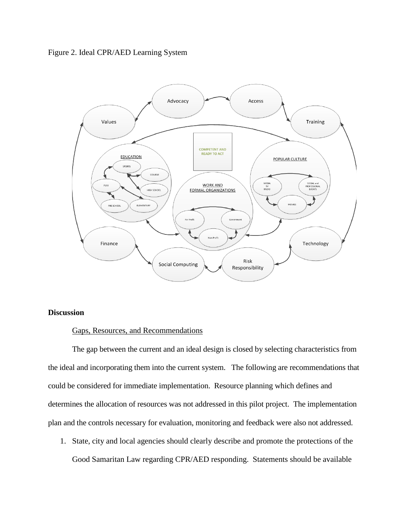# Figure 2. Ideal CPR/AED Learning System



# **Discussion**

### Gaps, Resources, and Recommendations

The gap between the current and an ideal design is closed by selecting characteristics from the ideal and incorporating them into the current system. The following are recommendations that could be considered for immediate implementation. Resource planning which defines and determines the allocation of resources was not addressed in this pilot project. The implementation plan and the controls necessary for evaluation, monitoring and feedback were also not addressed.

1. State, city and local agencies should clearly describe and promote the protections of the Good Samaritan Law regarding CPR/AED responding. Statements should be available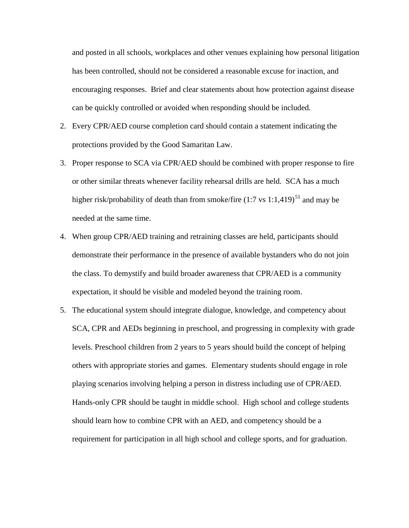and posted in all schools, workplaces and other venues explaining how personal litigation has been controlled, should not be considered a reasonable excuse for inaction, and encouraging responses. Brief and clear statements about how protection against disease can be quickly controlled or avoided when responding should be included.

- 2. Every CPR/AED course completion card should contain a statement indicating the protections provided by the Good Samaritan Law.
- 3. Proper response to SCA via CPR/AED should be combined with proper response to fire or other similar threats whenever facility rehearsal drills are held. SCA has a much higher risk/probability of death than from smoke/fire  $(1:7 \text{ vs } 1:1,419)^{51}$  $(1:7 \text{ vs } 1:1,419)^{51}$  $(1:7 \text{ vs } 1:1,419)^{51}$  and may be needed at the same time.
- 4. When group CPR/AED training and retraining classes are held, participants should demonstrate their performance in the presence of available bystanders who do not join the class. To demystify and build broader awareness that CPR/AED is a community expectation, it should be visible and modeled beyond the training room.
- 5. The educational system should integrate dialogue, knowledge, and competency about SCA, CPR and AEDs beginning in preschool, and progressing in complexity with grade levels. Preschool children from 2 years to 5 years should build the concept of helping others with appropriate stories and games. Elementary students should engage in role playing scenarios involving helping a person in distress including use of CPR/AED. Hands-only CPR should be taught in middle school. High school and college students should learn how to combine CPR with an AED, and competency should be a requirement for participation in all high school and college sports, and for graduation.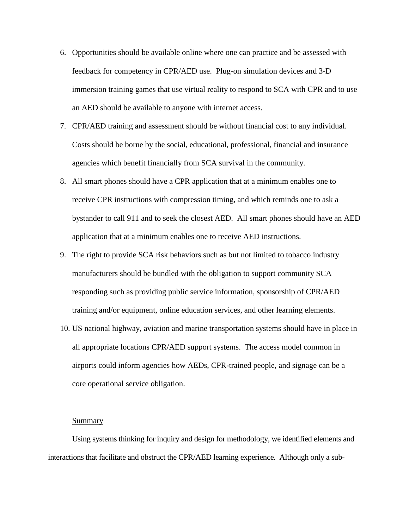- 6. Opportunities should be available online where one can practice and be assessed with feedback for competency in CPR/AED use. Plug-on simulation devices and 3-D immersion training games that use virtual reality to respond to SCA with CPR and to use an AED should be available to anyone with internet access.
- 7. CPR/AED training and assessment should be without financial cost to any individual. Costs should be borne by the social, educational, professional, financial and insurance agencies which benefit financially from SCA survival in the community.
- 8. All smart phones should have a CPR application that at a minimum enables one to receive CPR instructions with compression timing, and which reminds one to ask a bystander to call 911 and to seek the closest AED. All smart phones should have an AED application that at a minimum enables one to receive AED instructions.
- 9. The right to provide SCA risk behaviors such as but not limited to tobacco industry manufacturers should be bundled with the obligation to support community SCA responding such as providing public service information, sponsorship of CPR/AED training and/or equipment, online education services, and other learning elements.
- 10. US national highway, aviation and marine transportation systems should have in place in all appropriate locations CPR/AED support systems. The access model common in airports could inform agencies how AEDs, CPR-trained people, and signage can be a core operational service obligation.

#### Summary

Using systems thinking for inquiry and design for methodology, we identified elements and interactions that facilitate and obstruct the CPR/AED learning experience. Although only a sub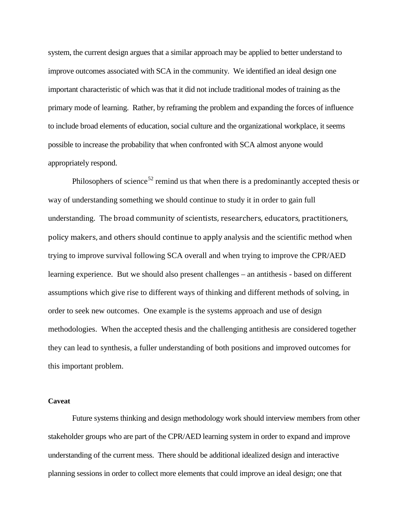system, the current design argues that a similar approach may be applied to better understand to improve outcomes associated with SCA in the community. We identified an ideal design one important characteristic of which was that it did not include traditional modes of training as the primary mode of learning. Rather, by reframing the problem and expanding the forces of influence to include broad elements of education, social culture and the organizational workplace, it seems possible to increase the probability that when confronted with SCA almost anyone would appropriately respond.

Philosophers of science<sup>[52](#page-32-9)</sup> remind us that when there is a predominantly accepted thesis or way of understanding something we should continue to study it in order to gain full understanding. The broad community of scientists, researchers, educators, practitioners, policy makers, and others should continue to apply analysis and the scientific method when trying to improve survival following SCA overall and when trying to improve the CPR/AED learning experience. But we should also present challenges – an antithesis - based on different assumptions which give rise to different ways of thinking and different methods of solving, in order to seek new outcomes. One example is the systems approach and use of design methodologies. When the accepted thesis and the challenging antithesis are considered together they can lead to synthesis, a fuller understanding of both positions and improved outcomes for this important problem.

#### **Caveat**

Future systems thinking and design methodology work should interview members from other stakeholder groups who are part of the CPR/AED learning system in order to expand and improve understanding of the current mess. There should be additional idealized design and interactive planning sessions in order to collect more elements that could improve an ideal design; one that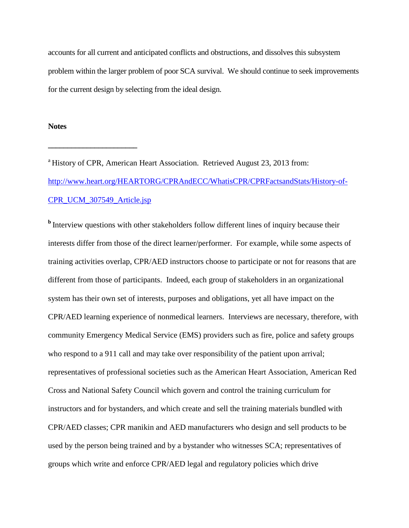accounts for all current and anticipated conflicts and obstructions, and dissolves this subsystem problem within the larger problem of poor SCA survival. We should continue to seek improvements for the current design by selecting from the ideal design.

#### **Notes**

**\_\_\_\_\_\_\_\_\_\_\_\_\_\_\_\_\_\_\_\_\_\_\_**

<sup>a</sup> History of CPR, American Heart Association. Retrieved August 23, 2013 from: [http://www.heart.org/HEARTORG/CPRAndECC/WhatisCPR/CPRFactsandStats/History-of-](http://www.heart.org/HEARTORG/CPRAndECC/WhatisCPR/CPRFactsandStats/History-of-CPR_UCM_307549_Article.jsp)[CPR\\_UCM\\_307549\\_Article.jsp](http://www.heart.org/HEARTORG/CPRAndECC/WhatisCPR/CPRFactsandStats/History-of-CPR_UCM_307549_Article.jsp)

<sup>b</sup>Interview questions with other stakeholders follow different lines of inquiry because their interests differ from those of the direct learner/performer. For example, while some aspects of training activities overlap, CPR/AED instructors choose to participate or not for reasons that are different from those of participants. Indeed, each group of stakeholders in an organizational system has their own set of interests, purposes and obligations, yet all have impact on the CPR/AED learning experience of nonmedical learners. Interviews are necessary, therefore, with community Emergency Medical Service (EMS) providers such as fire, police and safety groups who respond to a 911 call and may take over responsibility of the patient upon arrival; representatives of professional societies such as the American Heart Association, American Red Cross and National Safety Council which govern and control the training curriculum for instructors and for bystanders, and which create and sell the training materials bundled with CPR/AED classes; CPR manikin and AED manufacturers who design and sell products to be used by the person being trained and by a bystander who witnesses SCA; representatives of groups which write and enforce CPR/AED legal and regulatory policies which drive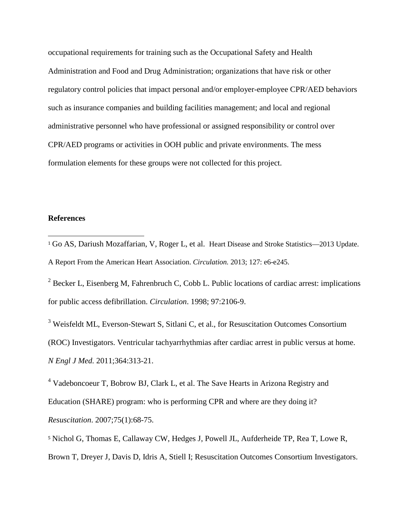occupational requirements for training such as the Occupational Safety and Health Administration and Food and Drug Administration; organizations that have risk or other regulatory control policies that impact personal and/or employer-employee CPR/AED behaviors such as insurance companies and building facilities management; and local and regional administrative personnel who have professional or assigned responsibility or control over CPR/AED programs or activities in OOH public and private environments. The mess formulation elements for these groups were not collected for this project.

#### **References**

<sup>2</sup> Becker L, Eisenberg M, Fahrenbruch C, Cobb L, Public locations of cardiac arrest: implications for public access defibrillation. *Circulation*. 1998; 97:2106-9.

<sup>3</sup> Weisfeldt ML, Everson-Stewart S, Sitlani C, et al., for Resuscitation Outcomes Consortium (ROC) Investigators. Ventricular tachyarrhythmias after cardiac arrest in public versus at home. *N Engl J Med.* 2011;364:313-21.

<sup>4</sup> Vadeboncoeur T, Bobrow BJ, Clark L, et al. The Save Hearts in Arizona Registry and Education (SHARE) program: who is performing CPR and where are they doing it? *Resuscitation*. 2007;75(1):68-75.

<sup>5</sup> Nichol G, Thomas E, Callaway CW, Hedges J, Powell JL, Aufderheide TP, Rea T, Lowe R, Brown T, Dreyer J, Davis D, Idris A, Stiell I; Resuscitation Outcomes Consortium Investigators.

<sup>&</sup>lt;sup>1</sup> Go AS, Dariush Mozaffarian, V, Roger L, et al. Heart Disease and Stroke Statistics—2013 Update. A Report From the American Heart Association. *Circulation.* 2013; 127: e6-e245. j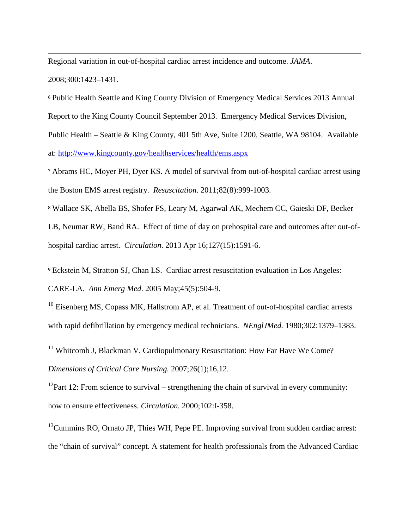Regional variation in out-of-hospital cardiac arrest incidence and outcome. *JAMA*. 2008;300:1423–1431. j

<span id="page-26-5"></span><sup>6</sup> Public Health Seattle and King County Division of Emergency Medical Services 2013 Annual Report to the King County Council September 2013. Emergency Medical Services Division, Public Health – Seattle & King County, 401 5th Ave, Suite 1200, Seattle, WA 98104. Available at:<http://www.kingcounty.gov/healthservices/health/ems.aspx>

<span id="page-26-6"></span><sup>7</sup> Abrams HC, Moyer PH, Dyer KS. A model of survival from out-of-hospital cardiac arrest using the Boston EMS arrest registry. *Resuscitation*. 2011;82(8):999-1003.

<span id="page-26-7"></span><sup>8</sup> Wallace SK, Abella BS, Shofer FS, Leary M, Agarwal AK, Mechem CC, Gaieski DF, Becker LB, Neumar RW, Band RA. Effect of time of day on prehospital care and outcomes after out-ofhospital cardiac arrest. *Circulation*. 2013 Apr 16;127(15):1591-6.

<span id="page-26-8"></span><span id="page-26-1"></span><span id="page-26-0"></span><sup>9</sup> Eckstein M, Stratton SJ, Chan LS. Cardiac arrest resuscitation evaluation in Los Angeles: CARE-LA. *Ann Emerg Med*. 2005 May;45(5):504-9.

<span id="page-26-9"></span><span id="page-26-2"></span> $10$  Eisenberg MS, Copass MK, Hallstrom AP, et al. Treatment of out-of-hospital cardiac arrests with rapid defibrillation by emergency medical technicians. *NEnglJMed.* 1980;302:1379–1383.

<span id="page-26-10"></span><sup>11</sup> Whitcomb J, Blackman V. Cardiopulmonary Resuscitation: How Far Have We Come? *Dimensions of Critical Care Nursing.* 2007;26(1);16,12.

<span id="page-26-11"></span><span id="page-26-3"></span><sup>12</sup>Part 12: From science to survival – strengthening the chain of survival in every community: how to ensure effectiveness. *Circulation.* 2000;102:I-358.

<span id="page-26-12"></span><span id="page-26-4"></span> $13$ Cummins RO, Ornato JP, Thies WH, Pepe PE. Improving survival from sudden cardiac arrest: the "chain of survival" concept. A statement for health professionals from the Advanced Cardiac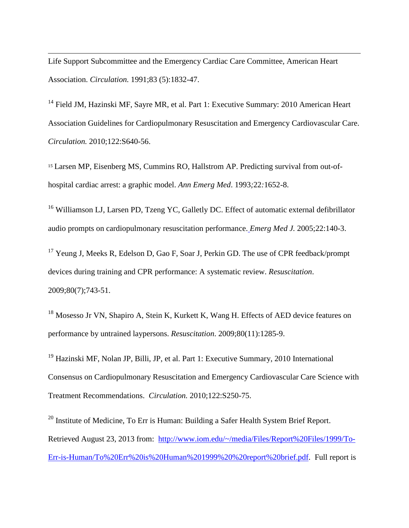Life Support Subcommittee and the Emergency Cardiac Care Committee, American Heart Association. *Circulation.* 1991;83 (5):1832-47. j

<span id="page-27-0"></span><sup>14</sup> Field JM, Hazinski MF, Sayre MR, et al. Part 1: Executive Summary: 2010 American Heart Association Guidelines for Cardiopulmonary Resuscitation and Emergency Cardiovascular Care. *Circulation.* 2010;122:S640-56.

<span id="page-27-1"></span><sup>15</sup> Larsen MP, Eisenberg MS, Cummins RO, Hallstrom AP. Predicting survival from out-ofhospital cardiac arrest: a graphic model. *Ann Emerg Med*. 1993*;*22*:*1652-8.

<sup>16</sup> Williamson LJ, Larsen PD, Tzeng YC, Galletly DC. Effect of automatic external defibrillator audio prompts on cardiopulmonary resuscitation performance. *Emerg Med J.* 2005;22:140-3.

<sup>17</sup> Yeung J, Meeks R, Edelson D, Gao F, Soar J, Perkin GD. The use of CPR feedback/prompt devices during training and CPR performance: A systematic review. *Resuscitation*. 2009;80(7);743-51.

<sup>18</sup> Mosesso Jr VN, Shapiro A, Stein K, Kurkett K, Wang H. Effects of AED device features on performance by untrained laypersons. *Resuscitation*. 2009;80(11):1285-9.

<sup>19</sup> Hazinski MF, Nolan JP, Billi, JP, et al. Part 1: Executive Summary, 2010 International Consensus on Cardiopulmonary Resuscitation and Emergency Cardiovascular Care Science with Treatment Recommendations. *Circulation.* 2010;122:S250-75.

<sup>20</sup> Institute of Medicine, To Err is Human: Building a Safer Health System Brief Report. Retrieved August 23, 2013 from: [http://www.iom.edu/~/media/Files/Report%20Files/1999/To-](http://www.iom.edu/%7E/media/Files/Report%20Files/1999/To-Err-is-Human/To%20Err%20is%20Human%201999%20%20report%20brief.pdf)[Err-is-Human/To%20Err%20is%20Human%201999%20%20report%20brief.pdf.](http://www.iom.edu/%7E/media/Files/Report%20Files/1999/To-Err-is-Human/To%20Err%20is%20Human%201999%20%20report%20brief.pdf) Full report is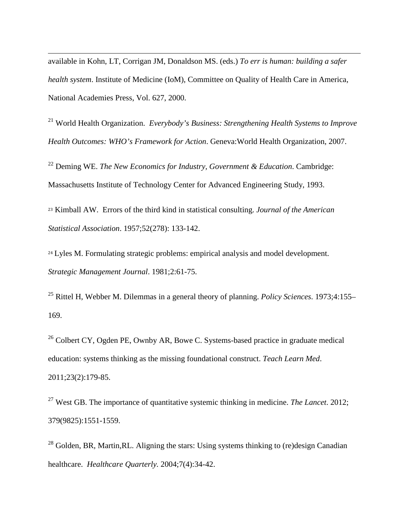available in Kohn, LT, Corrigan JM, Donaldson MS. (eds.) *To err is human: building a safer health system*. Institute of Medicine (IoM), Committee on Quality of Health Care in America, National Academies Press, Vol. 627, 2000. j

<sup>21</sup> World Health Organization. *Everybody's Business: Strengthening Health Systems to Improve Health Outcomes: WHO's Framework for Action*. Geneva:World Health Organization, 2007.

<sup>22</sup> Deming WE. *The New Economics for Industry, Government & Education*. Cambridge: Massachusetts Institute of Technology Center for Advanced Engineering Study, 1993.

<span id="page-28-0"></span><sup>23</sup> Kimball AW. Errors of the third kind in statistical consulting. *Journal of the American Statistical Association*. 1957;52(278): 133-142.

<span id="page-28-1"></span><sup>24</sup> Lyles M. Formulating strategic problems: empirical analysis and model development. *Strategic Management Journal*. 1981;2:61-75.

<sup>25</sup> Rittel H, Webber M. Dilemmas in a general theory of planning. *Policy Sciences*. 1973;4:155– 169.

<span id="page-28-3"></span><span id="page-28-2"></span><sup>26</sup> Colbert CY, Ogden PE, Ownby AR, Bowe C. Systems-based practice in graduate medical education: systems thinking as the missing foundational construct. *Teach Learn Med*. 2011;23(2):179-85.

<span id="page-28-4"></span><sup>27</sup> West GB. The importance of quantitative systemic thinking in medicine. *The Lancet*. 2012; 379(9825):1551-1559.

<sup>28</sup> Golden, BR, Martin, RL. Aligning the stars: Using systems thinking to (re)design Canadian healthcare. *Healthcare Quarterly.* 2004;7(4):34-42.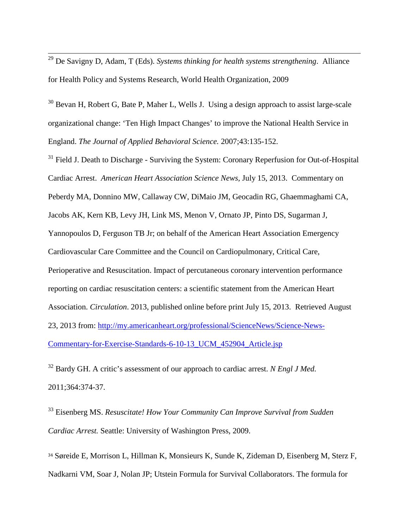<sup>29</sup> De Savigny D, Adam, T (Eds). *Systems thinking for health systems strengthening*. Alliance for Health Policy and Systems Research, World Health Organization, 2009

<span id="page-29-0"></span><sup>30</sup> Bevan H, Robert G, Bate P, Maher L, Wells J. Using a design approach to assist large-scale organizational change: 'Ten High Impact Changes' to improve the National Health Service in England. *The Journal of Applied Behavioral Science.* 2007;43:135-152.

<span id="page-29-3"></span><span id="page-29-2"></span><span id="page-29-1"></span><sup>31</sup> Field J. Death to Discharge - Surviving the System: Coronary Reperfusion for Out-of-Hospital Cardiac Arrest. *American Heart Association Science News,* July 15, 2013. Commentary on Peberdy MA, Donnino MW, Callaway CW, DiMaio JM, Geocadin RG, Ghaemmaghami CA, Jacobs AK, Kern KB, Levy JH, Link MS, Menon V, Ornato JP, Pinto DS, Sugarman J, Yannopoulos D, Ferguson TB Jr; on behalf of the American Heart Association Emergency Cardiovascular Care Committee and the Council on Cardiopulmonary, Critical Care, Perioperative and Resuscitation. Impact of percutaneous coronary intervention performance reporting on cardiac resuscitation centers: a scientific statement from the American Heart Association. *Circulation*. 2013, published online before print July 15, 2013. Retrieved August 23, 2013 from: [http://my.americanheart.org/professional/ScienceNews/Science-News-](http://my.americanheart.org/professional/ScienceNews/Science-News-Commentary-for-Exercise-Standards-6-10-13_UCM_452904_Article.jsp)[Commentary-for-Exercise-Standards-6-10-13\\_UCM\\_452904\\_Article.jsp](http://my.americanheart.org/professional/ScienceNews/Science-News-Commentary-for-Exercise-Standards-6-10-13_UCM_452904_Article.jsp)

<sup>32</sup> Bardy GH. A critic's assessment of our approach to cardiac arrest. *N Engl J Med.*  2011;364:374-37.

<sup>33</sup> Eisenberg MS. *Resuscitate! How Your Community Can Improve Survival from Sudden Cardiac Arrest.* Seattle: University of Washington Press, 2009.

<sup>34</sup> Søreide E, Morrison L, Hillman K, Monsieurs K, Sunde K, Zideman D, Eisenberg M, Sterz F, Nadkarni VM, Soar J, Nolan JP; Utstein Formula for Survival Collaborators. The formula for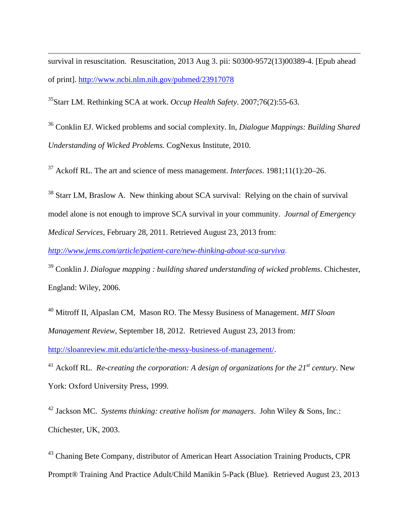<span id="page-30-4"></span>survival in resuscitation. Resuscitation, 2013 Aug 3. pii: S0300-9572(13)00389-4. [Epub ahead of print]. <http://www.ncbi.nlm.nih.gov/pubmed/23917078> j

<span id="page-30-5"></span>35Starr LM. Rethinking SCA at work. *Occup Health Safety*. 2007;76(2):55-63.

<sup>36</sup> Conklin EJ. Wicked problems and social complexity. In, *Dialogue Mappings: Building Shared Understanding of Wicked Problems.* CogNexus Institute, 2010.

<span id="page-30-6"></span><sup>37</sup> Ackoff RL. The art and science of mess management. *Interfaces*. 1981;11(1):20–26.

<sup>38</sup> Starr LM, Braslow A. New thinking about SCA survival: Relying on the chain of survival model alone is not enough to improve SCA survival in your community. *Journal of Emergency Medical Services,* February 28, 2011. Retrieved August 23, 2013 from:

*<http://www.jems.com/article/patient-care/new-thinking-about-sca-surviva>*.

<sup>39</sup> Conklin J. *Dialogue mapping : building shared understanding of wicked problems*. Chichester, England: Wiley, 2006.

<span id="page-30-0"></span><sup>40</sup> Mitroff II, Alpaslan CM, Mason RO. The Messy Business of Management. *MIT Sloan Management Review*, September 18, 2012. Retrieved August 23, 2013 from: [http://sloanreview.mit.edu/article/the-messy-business-of-management/.](http://sloanreview.mit.edu/article/the-messy-business-of-management/)

<span id="page-30-7"></span><span id="page-30-1"></span><sup>41</sup> Ackoff RL. *Re-creating the corporation: A design of organizations for the 21<sup>st</sup> century. New* York: Oxford University Press, 1999.

<span id="page-30-8"></span><span id="page-30-2"></span><sup>42</sup> Jackson MC. *Systems thinking: creative holism for managers*. John Wiley & Sons, Inc.: Chichester, UK, 2003.

<span id="page-30-9"></span><span id="page-30-3"></span><sup>43</sup> Chaning Bete Company, distributor of American Heart Association Training Products, CPR Prompt® Training And Practice Adult/Child Manikin 5-Pack (Blue). Retrieved August 23, 2013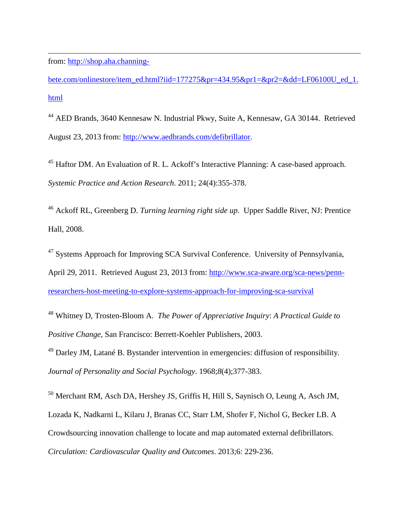from: [http://shop.aha.channing](http://shop.aha.channing-bete.com/onlinestore/item_ed.html?iid=177275&pr=434.95&pr1=&pr2=&dd=LF06100U_ed_1.html)j

[bete.com/onlinestore/item\\_ed.html?iid=177275&pr=434.95&pr1=&pr2=&dd=LF06100U\\_ed\\_1.](http://shop.aha.channing-bete.com/onlinestore/item_ed.html?iid=177275&pr=434.95&pr1=&pr2=&dd=LF06100U_ed_1.html) [html](http://shop.aha.channing-bete.com/onlinestore/item_ed.html?iid=177275&pr=434.95&pr1=&pr2=&dd=LF06100U_ed_1.html)

<span id="page-31-1"></span><span id="page-31-0"></span><sup>44</sup> AED Brands, 3640 Kennesaw N. Industrial Pkwy, Suite A, Kennesaw, GA 30144. Retrieved August 23, 2013 from: [http://www.aedbrands.com/defibrillator.](http://www.aedbrands.com/defibrillator)

<span id="page-31-2"></span><sup>45</sup> Haftor DM. An Evaluation of R. L. Ackoff's Interactive Planning: A case-based approach. *Systemic Practice and Action Research*. 2011; 24(4):355-378.

<span id="page-31-3"></span><sup>46</sup> Ackoff RL, Greenberg D. *Turning learning right side up*. Upper Saddle River, NJ: Prentice Hall, 2008.

<span id="page-31-4"></span><sup>47</sup> Systems Approach for Improving SCA Survival Conference. University of Pennsylvania, April 29, 2011. Retrieved August 23, 2013 from: [http://www.sca-aware.org/sca-news/penn](http://www.sca-aware.org/sca-news/penn-researchers-host-meeting-to-explore-systems-approach-for-improving-sca-survival)[researchers-host-meeting-to-explore-systems-approach-for-improving-sca-survival](http://www.sca-aware.org/sca-news/penn-researchers-host-meeting-to-explore-systems-approach-for-improving-sca-survival)

<span id="page-31-5"></span><sup>48</sup> Whitney D, Trosten-Bloom A. *The Power of Appreciative Inquiry*: *A Practical Guide to Positive Change*, San Francisco: Berrett-Koehler Publishers, 2003.

<span id="page-31-6"></span><sup>49</sup> Darley JM, Latané B. Bystander intervention in emergencies: diffusion of responsibility. *Journal of Personality and Social Psychology*. 1968;*8*(4);377-383.

<span id="page-31-7"></span><sup>50</sup> Merchant RM, Asch DA, Hershey JS, Griffis H, Hill S, Saynisch O, Leung A, Asch JM, Lozada K, Nadkarni L, Kilaru J, Branas CC, Starr LM, Shofer F, Nichol G, Becker LB. A Crowdsourcing innovation challenge to locate and map automated external defibrillators. *Circulation: Cardiovascular Quality and Outcomes*. 2013;6: 229-236.